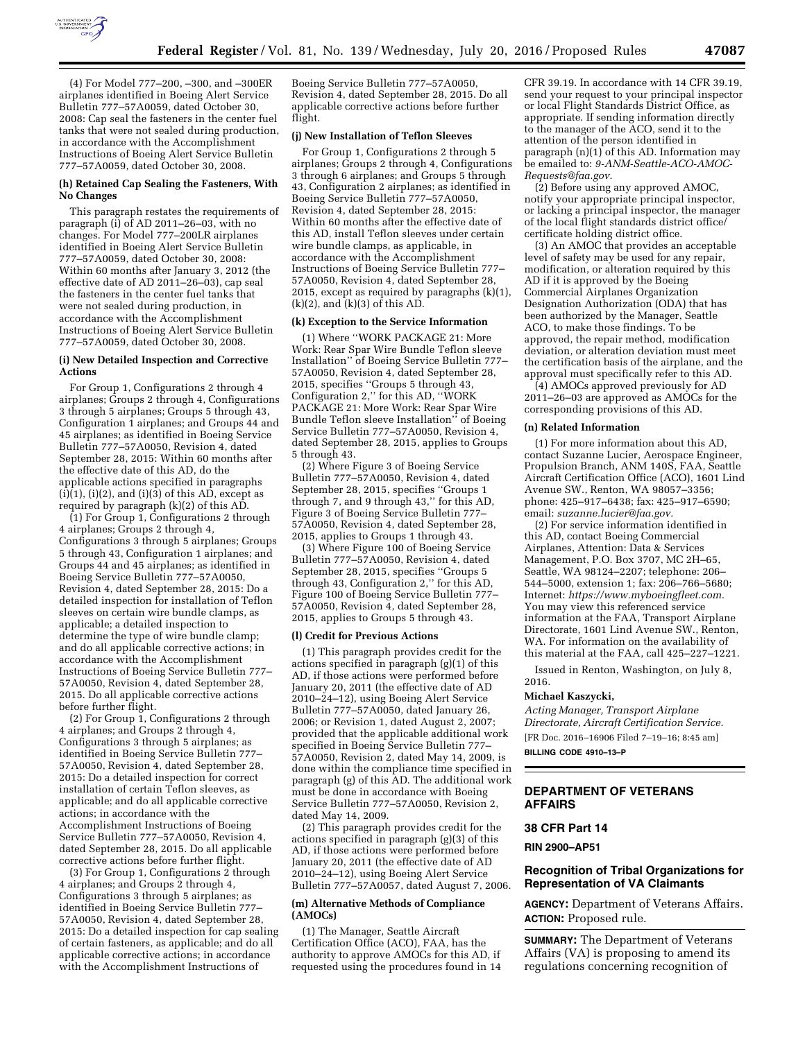

(4) For Model 777–200, –300, and –300ER airplanes identified in Boeing Alert Service Bulletin 777–57A0059, dated October 30, 2008: Cap seal the fasteners in the center fuel tanks that were not sealed during production, in accordance with the Accomplishment Instructions of Boeing Alert Service Bulletin 777–57A0059, dated October 30, 2008.

#### **(h) Retained Cap Sealing the Fasteners, With No Changes**

This paragraph restates the requirements of paragraph (i) of AD 2011–26–03, with no changes. For Model 777–200LR airplanes identified in Boeing Alert Service Bulletin 777–57A0059, dated October 30, 2008: Within 60 months after January 3, 2012 (the effective date of AD 2011–26–03), cap seal the fasteners in the center fuel tanks that were not sealed during production, in accordance with the Accomplishment Instructions of Boeing Alert Service Bulletin 777–57A0059, dated October 30, 2008.

### **(i) New Detailed Inspection and Corrective Actions**

For Group 1, Configurations 2 through 4 airplanes; Groups 2 through 4, Configurations 3 through 5 airplanes; Groups 5 through 43, Configuration 1 airplanes; and Groups 44 and 45 airplanes; as identified in Boeing Service Bulletin 777–57A0050, Revision 4, dated September 28, 2015: Within 60 months after the effective date of this AD, do the applicable actions specified in paragraphs  $(i)(1)$ ,  $(i)(2)$ , and  $(i)(3)$  of this AD, except as required by paragraph (k)(2) of this AD.

 $(1)$  For Group 1, Configurations 2 through 4 airplanes; Groups 2 through 4, Configurations 3 through 5 airplanes; Groups 5 through 43, Configuration 1 airplanes; and Groups 44 and 45 airplanes; as identified in Boeing Service Bulletin 777–57A0050, Revision 4, dated September 28, 2015: Do a detailed inspection for installation of Teflon sleeves on certain wire bundle clamps, as applicable; a detailed inspection to determine the type of wire bundle clamp; and do all applicable corrective actions; in accordance with the Accomplishment Instructions of Boeing Service Bulletin 777– 57A0050, Revision 4, dated September 28, 2015. Do all applicable corrective actions before further flight.

 $(2)$  For Group 1, Configurations 2 through 4 airplanes; and Groups 2 through 4, Configurations 3 through 5 airplanes; as identified in Boeing Service Bulletin 777– 57A0050, Revision 4, dated September 28, 2015: Do a detailed inspection for correct installation of certain Teflon sleeves, as applicable; and do all applicable corrective actions; in accordance with the Accomplishment Instructions of Boeing Service Bulletin 777–57A0050, Revision 4, dated September 28, 2015. Do all applicable corrective actions before further flight.

(3) For Group 1, Configurations 2 through 4 airplanes; and Groups 2 through 4, Configurations 3 through 5 airplanes; as identified in Boeing Service Bulletin 777– 57A0050, Revision 4, dated September 28, 2015: Do a detailed inspection for cap sealing of certain fasteners, as applicable; and do all applicable corrective actions; in accordance with the Accomplishment Instructions of

Boeing Service Bulletin 777–57A0050, Revision 4, dated September 28, 2015. Do all applicable corrective actions before further flight.

## **(j) New Installation of Teflon Sleeves**

For Group 1, Configurations 2 through 5 airplanes; Groups 2 through 4, Configurations 3 through 6 airplanes; and Groups 5 through 43, Configuration 2 airplanes; as identified in Boeing Service Bulletin 777–57A0050, Revision 4, dated September 28, 2015: Within 60 months after the effective date of this AD, install Teflon sleeves under certain wire bundle clamps, as applicable, in accordance with the Accomplishment Instructions of Boeing Service Bulletin 777– 57A0050, Revision 4, dated September 28, 2015, except as required by paragraphs (k)(1),  $(k)(2)$ , and  $(k)(3)$  of this AD.

## **(k) Exception to the Service Information**

(1) Where ''WORK PACKAGE 21: More Work: Rear Spar Wire Bundle Teflon sleeve Installation'' of Boeing Service Bulletin 777– 57A0050, Revision 4, dated September 28, 2015, specifies ''Groups 5 through 43, Configuration 2,'' for this AD, ''WORK PACKAGE 21: More Work: Rear Spar Wire Bundle Teflon sleeve Installation'' of Boeing Service Bulletin 777–57A0050, Revision 4, dated September 28, 2015, applies to Groups 5 through 43.

(2) Where Figure 3 of Boeing Service Bulletin 777–57A0050, Revision 4, dated September 28, 2015, specifies ''Groups 1 through 7, and 9 through 43,'' for this AD, Figure 3 of Boeing Service Bulletin 777– 57A0050, Revision 4, dated September 28, 2015, applies to Groups 1 through 43.

(3) Where Figure 100 of Boeing Service Bulletin 777–57A0050, Revision 4, dated September 28, 2015, specifies ''Groups 5 through 43, Configuration 2,'' for this AD, Figure 100 of Boeing Service Bulletin 777– 57A0050, Revision 4, dated September 28, 2015, applies to Groups 5 through 43.

#### **(l) Credit for Previous Actions**

(1) This paragraph provides credit for the actions specified in paragraph (g)(1) of this AD, if those actions were performed before January 20, 2011 (the effective date of AD 2010–24–12), using Boeing Alert Service Bulletin 777–57A0050, dated January 26, 2006; or Revision 1, dated August 2, 2007; provided that the applicable additional work specified in Boeing Service Bulletin 777– 57A0050, Revision 2, dated May 14, 2009, is done within the compliance time specified in paragraph (g) of this AD. The additional work must be done in accordance with Boeing Service Bulletin 777–57A0050, Revision 2, dated May 14, 2009.

(2) This paragraph provides credit for the actions specified in paragraph (g)(3) of this AD, if those actions were performed before January 20, 2011 (the effective date of AD 2010–24–12), using Boeing Alert Service Bulletin 777–57A0057, dated August 7, 2006.

#### **(m) Alternative Methods of Compliance (AMOCs)**

(1) The Manager, Seattle Aircraft Certification Office (ACO), FAA, has the authority to approve AMOCs for this AD, if requested using the procedures found in 14

CFR 39.19. In accordance with 14 CFR 39.19, send your request to your principal inspector or local Flight Standards District Office, as appropriate. If sending information directly to the manager of the ACO, send it to the attention of the person identified in paragraph (n)(1) of this AD. Information may be emailed to: *[9-ANM-Seattle-ACO-AMOC-](mailto:9-ANM-Seattle-ACO-AMOC-Requests@faa.gov)[Requests@faa.gov.](mailto:9-ANM-Seattle-ACO-AMOC-Requests@faa.gov)* 

(2) Before using any approved AMOC, notify your appropriate principal inspector, or lacking a principal inspector, the manager of the local flight standards district office/ certificate holding district office.

(3) An AMOC that provides an acceptable level of safety may be used for any repair, modification, or alteration required by this AD if it is approved by the Boeing Commercial Airplanes Organization Designation Authorization (ODA) that has been authorized by the Manager, Seattle ACO, to make those findings. To be approved, the repair method, modification deviation, or alteration deviation must meet the certification basis of the airplane, and the approval must specifically refer to this AD.

(4) AMOCs approved previously for AD 2011–26–03 are approved as AMOCs for the corresponding provisions of this AD.

#### **(n) Related Information**

(1) For more information about this AD, contact Suzanne Lucier, Aerospace Engineer, Propulsion Branch, ANM 140S, FAA, Seattle Aircraft Certification Office (ACO), 1601 Lind Avenue SW., Renton, WA 98057–3356; phone: 425–917–6438; fax: 425–917–6590; email: *[suzanne.lucier@faa.gov.](mailto:suzanne.lucier@faa.gov)* 

(2) For service information identified in this AD, contact Boeing Commercial Airplanes, Attention: Data & Services Management, P.O. Box 3707, MC 2H–65, Seattle, WA 98124–2207; telephone: 206– 544–5000, extension 1; fax: 206–766–5680; Internet: *[https://www.myboeingfleet.com.](https://www.myboeingfleet.com)*  You may view this referenced service information at the FAA, Transport Airplane Directorate, 1601 Lind Avenue SW., Renton, WA. For information on the availability of this material at the FAA, call 425–227–1221.

Issued in Renton, Washington, on July 8, 2016.

#### **Michael Kaszycki,**

*Acting Manager, Transport Airplane Directorate, Aircraft Certification Service.* 

[FR Doc. 2016–16906 Filed 7–19–16; 8:45 am]

**BILLING CODE 4910–13–P** 

### **DEPARTMENT OF VETERANS AFFAIRS**

#### **38 CFR Part 14**

**RIN 2900–AP51** 

### **Recognition of Tribal Organizations for Representation of VA Claimants**

**AGENCY:** Department of Veterans Affairs. **ACTION:** Proposed rule.

**SUMMARY:** The Department of Veterans Affairs (VA) is proposing to amend its regulations concerning recognition of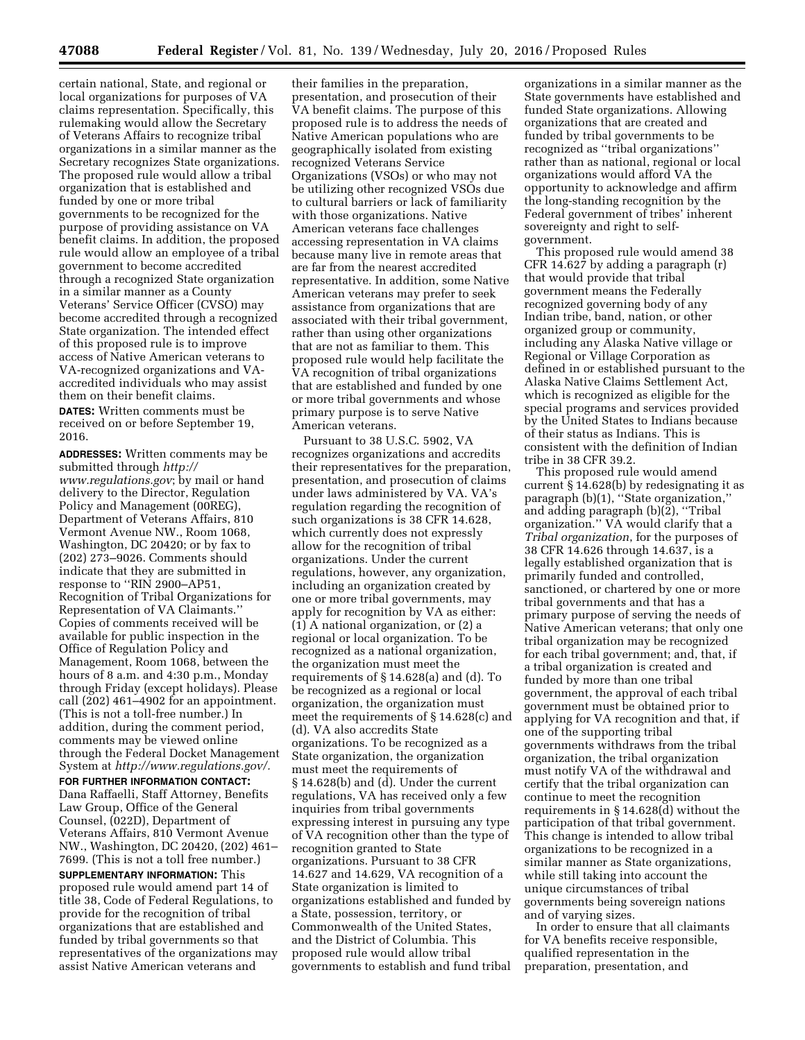certain national, State, and regional or local organizations for purposes of VA claims representation. Specifically, this rulemaking would allow the Secretary of Veterans Affairs to recognize tribal organizations in a similar manner as the Secretary recognizes State organizations. The proposed rule would allow a tribal organization that is established and funded by one or more tribal governments to be recognized for the purpose of providing assistance on VA benefit claims. In addition, the proposed rule would allow an employee of a tribal government to become accredited through a recognized State organization in a similar manner as a County Veterans' Service Officer (CVSO) may become accredited through a recognized State organization. The intended effect of this proposed rule is to improve access of Native American veterans to VA-recognized organizations and VAaccredited individuals who may assist them on their benefit claims.

**DATES:** Written comments must be received on or before September 19, 2016.

**ADDRESSES:** Written comments may be submitted through *[http://](http://www.regulations.gov) [www.regulations.gov](http://www.regulations.gov)*; by mail or hand delivery to the Director, Regulation Policy and Management (00REG), Department of Veterans Affairs, 810 Vermont Avenue NW., Room 1068, Washington, DC 20420; or by fax to (202) 273–9026. Comments should indicate that they are submitted in response to ''RIN 2900–AP51, Recognition of Tribal Organizations for Representation of VA Claimants.'' Copies of comments received will be available for public inspection in the Office of Regulation Policy and Management, Room 1068, between the hours of 8 a.m. and 4:30 p.m., Monday through Friday (except holidays). Please call (202) 461–4902 for an appointment. (This is not a toll-free number.) In addition, during the comment period, comments may be viewed online through the Federal Docket Management System at *[http://www.regulations.gov/.](http://www.regulations.gov/)*  **FOR FURTHER INFORMATION CONTACT:**  Dana Raffaelli, Staff Attorney, Benefits Law Group, Office of the General Counsel, (022D), Department of Veterans Affairs, 810 Vermont Avenue NW., Washington, DC 20420, (202) 461– 7699. (This is not a toll free number.) **SUPPLEMENTARY INFORMATION:** This proposed rule would amend part 14 of title 38, Code of Federal Regulations, to provide for the recognition of tribal organizations that are established and funded by tribal governments so that representatives of the organizations may assist Native American veterans and

their families in the preparation, presentation, and prosecution of their VA benefit claims. The purpose of this proposed rule is to address the needs of Native American populations who are geographically isolated from existing recognized Veterans Service Organizations (VSOs) or who may not be utilizing other recognized VSOs due to cultural barriers or lack of familiarity with those organizations. Native American veterans face challenges accessing representation in VA claims because many live in remote areas that are far from the nearest accredited representative. In addition, some Native American veterans may prefer to seek assistance from organizations that are associated with their tribal government, rather than using other organizations that are not as familiar to them. This proposed rule would help facilitate the VA recognition of tribal organizations that are established and funded by one or more tribal governments and whose primary purpose is to serve Native American veterans.

Pursuant to 38 U.S.C. 5902, VA recognizes organizations and accredits their representatives for the preparation, presentation, and prosecution of claims under laws administered by VA. VA's regulation regarding the recognition of such organizations is 38 CFR 14.628, which currently does not expressly allow for the recognition of tribal organizations. Under the current regulations, however, any organization, including an organization created by one or more tribal governments, may apply for recognition by VA as either: (1) A national organization, or (2) a regional or local organization. To be recognized as a national organization, the organization must meet the requirements of § 14.628(a) and (d). To be recognized as a regional or local organization, the organization must meet the requirements of § 14.628(c) and (d). VA also accredits State organizations. To be recognized as a State organization, the organization must meet the requirements of § 14.628(b) and (d). Under the current regulations, VA has received only a few inquiries from tribal governments expressing interest in pursuing any type of VA recognition other than the type of recognition granted to State organizations. Pursuant to 38 CFR 14.627 and 14.629, VA recognition of a State organization is limited to organizations established and funded by a State, possession, territory, or Commonwealth of the United States, and the District of Columbia. This proposed rule would allow tribal governments to establish and fund tribal

organizations in a similar manner as the State governments have established and funded State organizations. Allowing organizations that are created and funded by tribal governments to be recognized as ''tribal organizations'' rather than as national, regional or local organizations would afford VA the opportunity to acknowledge and affirm the long-standing recognition by the Federal government of tribes' inherent sovereignty and right to selfgovernment.

This proposed rule would amend 38 CFR 14.627 by adding a paragraph (r) that would provide that tribal government means the Federally recognized governing body of any Indian tribe, band, nation, or other organized group or community, including any Alaska Native village or Regional or Village Corporation as defined in or established pursuant to the Alaska Native Claims Settlement Act, which is recognized as eligible for the special programs and services provided by the United States to Indians because of their status as Indians. This is consistent with the definition of Indian tribe in 38 CFR 39.2.

This proposed rule would amend current § 14.628(b) by redesignating it as paragraph (b)(1), "State organization," and adding paragraph  $(b)(\tilde{2})$ , "Tribal organization.'' VA would clarify that a *Tribal organization*, for the purposes of 38 CFR 14.626 through 14.637, is a legally established organization that is primarily funded and controlled, sanctioned, or chartered by one or more tribal governments and that has a primary purpose of serving the needs of Native American veterans; that only one tribal organization may be recognized for each tribal government; and, that, if a tribal organization is created and funded by more than one tribal government, the approval of each tribal government must be obtained prior to applying for VA recognition and that, if one of the supporting tribal governments withdraws from the tribal organization, the tribal organization must notify VA of the withdrawal and certify that the tribal organization can continue to meet the recognition requirements in § 14.628(d) without the participation of that tribal government. This change is intended to allow tribal organizations to be recognized in a similar manner as State organizations, while still taking into account the unique circumstances of tribal governments being sovereign nations and of varying sizes.

In order to ensure that all claimants for VA benefits receive responsible, qualified representation in the preparation, presentation, and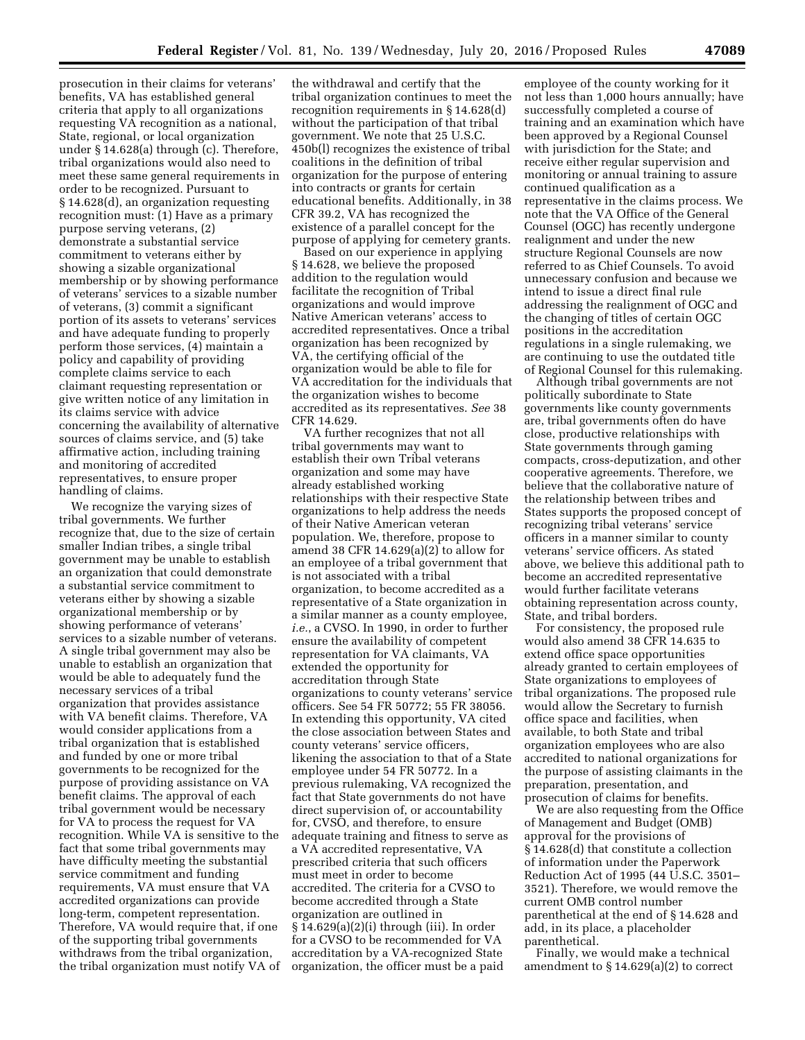prosecution in their claims for veterans' benefits, VA has established general criteria that apply to all organizations requesting VA recognition as a national, State, regional, or local organization under § 14.628(a) through (c). Therefore, tribal organizations would also need to meet these same general requirements in order to be recognized. Pursuant to § 14.628(d), an organization requesting recognition must: (1) Have as a primary purpose serving veterans, (2) demonstrate a substantial service commitment to veterans either by showing a sizable organizational membership or by showing performance of veterans' services to a sizable number of veterans, (3) commit a significant portion of its assets to veterans' services and have adequate funding to properly perform those services, (4) maintain a policy and capability of providing complete claims service to each claimant requesting representation or give written notice of any limitation in its claims service with advice concerning the availability of alternative sources of claims service, and (5) take affirmative action, including training and monitoring of accredited representatives, to ensure proper handling of claims.

We recognize the varying sizes of tribal governments. We further recognize that, due to the size of certain smaller Indian tribes, a single tribal government may be unable to establish an organization that could demonstrate a substantial service commitment to veterans either by showing a sizable organizational membership or by showing performance of veterans' services to a sizable number of veterans. A single tribal government may also be unable to establish an organization that would be able to adequately fund the necessary services of a tribal organization that provides assistance with VA benefit claims. Therefore, VA would consider applications from a tribal organization that is established and funded by one or more tribal governments to be recognized for the purpose of providing assistance on VA benefit claims. The approval of each tribal government would be necessary for VA to process the request for VA recognition. While VA is sensitive to the fact that some tribal governments may have difficulty meeting the substantial service commitment and funding requirements, VA must ensure that VA accredited organizations can provide long-term, competent representation. Therefore, VA would require that, if one of the supporting tribal governments withdraws from the tribal organization, the tribal organization must notify VA of

the withdrawal and certify that the tribal organization continues to meet the recognition requirements in § 14.628(d) without the participation of that tribal government. We note that 25 U.S.C. 450b(l) recognizes the existence of tribal coalitions in the definition of tribal organization for the purpose of entering into contracts or grants for certain educational benefits. Additionally, in 38 CFR 39.2, VA has recognized the existence of a parallel concept for the purpose of applying for cemetery grants.

Based on our experience in applying § 14.628, we believe the proposed addition to the regulation would facilitate the recognition of Tribal organizations and would improve Native American veterans' access to accredited representatives. Once a tribal organization has been recognized by VA, the certifying official of the organization would be able to file for VA accreditation for the individuals that the organization wishes to become accredited as its representatives. *See* 38 CFR 14.629.

VA further recognizes that not all tribal governments may want to establish their own Tribal veterans organization and some may have already established working relationships with their respective State organizations to help address the needs of their Native American veteran population. We, therefore, propose to amend 38 CFR 14.629(a)(2) to allow for an employee of a tribal government that is not associated with a tribal organization, to become accredited as a representative of a State organization in a similar manner as a county employee, *i.e.*, a CVSO. In 1990, in order to further ensure the availability of competent representation for VA claimants, VA extended the opportunity for accreditation through State organizations to county veterans' service officers. See 54 FR 50772; 55 FR 38056. In extending this opportunity, VA cited the close association between States and county veterans' service officers, likening the association to that of a State employee under 54 FR 50772. In a previous rulemaking, VA recognized the fact that State governments do not have direct supervision of, or accountability for, CVSO, and therefore, to ensure adequate training and fitness to serve as a VA accredited representative, VA prescribed criteria that such officers must meet in order to become accredited. The criteria for a CVSO to become accredited through a State organization are outlined in § 14.629(a)(2)(i) through (iii). In order for a CVSO to be recommended for VA accreditation by a VA-recognized State organization, the officer must be a paid

employee of the county working for it not less than 1,000 hours annually; have successfully completed a course of training and an examination which have been approved by a Regional Counsel with jurisdiction for the State; and receive either regular supervision and monitoring or annual training to assure continued qualification as a representative in the claims process. We note that the VA Office of the General Counsel (OGC) has recently undergone realignment and under the new structure Regional Counsels are now referred to as Chief Counsels. To avoid unnecessary confusion and because we intend to issue a direct final rule addressing the realignment of OGC and the changing of titles of certain OGC positions in the accreditation regulations in a single rulemaking, we are continuing to use the outdated title of Regional Counsel for this rulemaking.

Although tribal governments are not politically subordinate to State governments like county governments are, tribal governments often do have close, productive relationships with State governments through gaming compacts, cross-deputization, and other cooperative agreements. Therefore, we believe that the collaborative nature of the relationship between tribes and States supports the proposed concept of recognizing tribal veterans' service officers in a manner similar to county veterans' service officers. As stated above, we believe this additional path to become an accredited representative would further facilitate veterans obtaining representation across county, State, and tribal borders.

For consistency, the proposed rule would also amend 38 CFR 14.635 to extend office space opportunities already granted to certain employees of State organizations to employees of tribal organizations. The proposed rule would allow the Secretary to furnish office space and facilities, when available, to both State and tribal organization employees who are also accredited to national organizations for the purpose of assisting claimants in the preparation, presentation, and prosecution of claims for benefits.

We are also requesting from the Office of Management and Budget (OMB) approval for the provisions of § 14.628(d) that constitute a collection of information under the Paperwork Reduction Act of 1995 (44 U.S.C. 3501– 3521). Therefore, we would remove the current OMB control number parenthetical at the end of § 14.628 and add, in its place, a placeholder parenthetical.

Finally, we would make a technical amendment to § 14.629(a)(2) to correct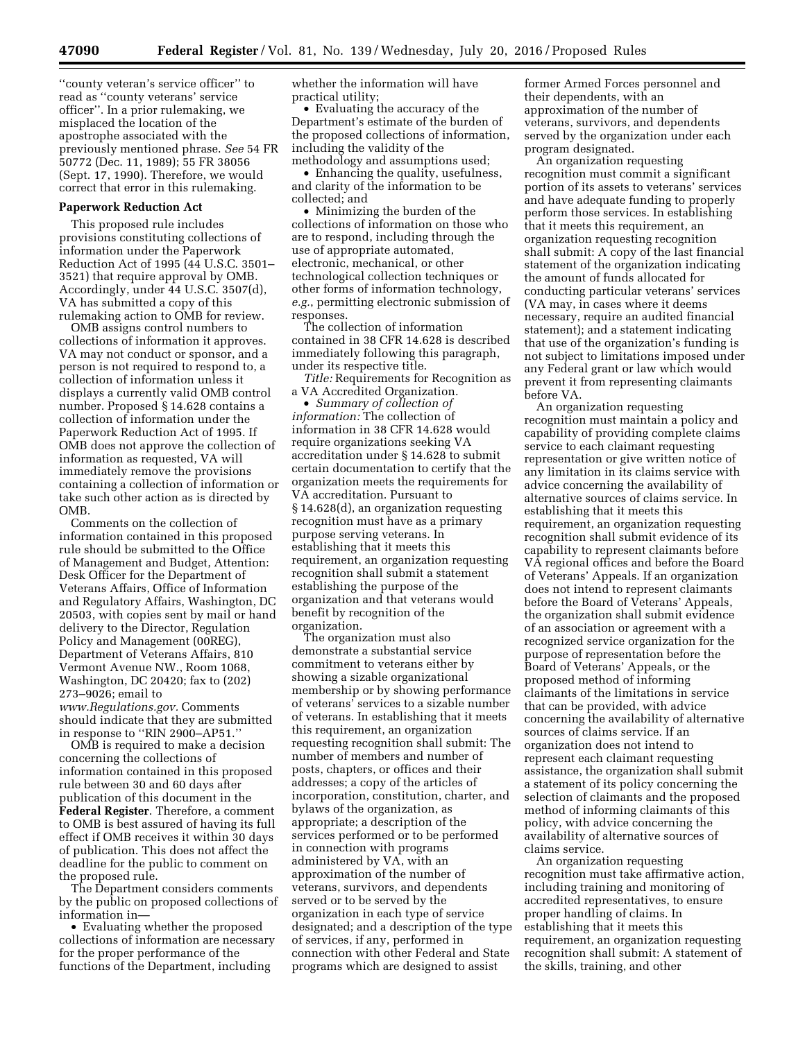''county veteran's service officer'' to read as ''county veterans' service officer''. In a prior rulemaking, we misplaced the location of the apostrophe associated with the previously mentioned phrase. *See* 54 FR 50772 (Dec. 11, 1989); 55 FR 38056 (Sept. 17, 1990). Therefore, we would correct that error in this rulemaking.

## **Paperwork Reduction Act**

This proposed rule includes provisions constituting collections of information under the Paperwork Reduction Act of 1995 (44 U.S.C. 3501– 3521) that require approval by OMB. Accordingly, under 44 U.S.C. 3507(d), VA has submitted a copy of this rulemaking action to OMB for review.

OMB assigns control numbers to collections of information it approves. VA may not conduct or sponsor, and a person is not required to respond to, a collection of information unless it displays a currently valid OMB control number. Proposed § 14.628 contains a collection of information under the Paperwork Reduction Act of 1995. If OMB does not approve the collection of information as requested, VA will immediately remove the provisions containing a collection of information or take such other action as is directed by OMB.

Comments on the collection of information contained in this proposed rule should be submitted to the Office of Management and Budget, Attention: Desk Officer for the Department of Veterans Affairs, Office of Information and Regulatory Affairs, Washington, DC 20503, with copies sent by mail or hand delivery to the Director, Regulation Policy and Management (00REG), Department of Veterans Affairs, 810 Vermont Avenue NW., Room 1068, Washington, DC 20420; fax to (202) 273–9026; email to

*[www.Regulations.gov.](http://www.Regulations.gov)* Comments should indicate that they are submitted in response to ''RIN 2900–AP51.''

OMB is required to make a decision concerning the collections of information contained in this proposed rule between 30 and 60 days after publication of this document in the **Federal Register**. Therefore, a comment to OMB is best assured of having its full effect if OMB receives it within 30 days of publication. This does not affect the deadline for the public to comment on the proposed rule.

The Department considers comments by the public on proposed collections of information in—

• Evaluating whether the proposed collections of information are necessary for the proper performance of the functions of the Department, including

whether the information will have practical utility;

• Evaluating the accuracy of the Department's estimate of the burden of the proposed collections of information, including the validity of the methodology and assumptions used;

• Enhancing the quality, usefulness, and clarity of the information to be collected; and

• Minimizing the burden of the collections of information on those who are to respond, including through the use of appropriate automated, electronic, mechanical, or other technological collection techniques or other forms of information technology, *e.g.*, permitting electronic submission of responses.

The collection of information contained in 38 CFR 14.628 is described immediately following this paragraph, under its respective title.

*Title:* Requirements for Recognition as a VA Accredited Organization.

• *Summary of collection of information:* The collection of information in 38 CFR 14.628 would require organizations seeking VA accreditation under § 14.628 to submit certain documentation to certify that the organization meets the requirements for VA accreditation. Pursuant to § 14.628(d), an organization requesting recognition must have as a primary purpose serving veterans. In establishing that it meets this requirement, an organization requesting recognition shall submit a statement establishing the purpose of the organization and that veterans would benefit by recognition of the organization.

The organization must also demonstrate a substantial service commitment to veterans either by showing a sizable organizational membership or by showing performance of veterans' services to a sizable number of veterans. In establishing that it meets this requirement, an organization requesting recognition shall submit: The number of members and number of posts, chapters, or offices and their addresses; a copy of the articles of incorporation, constitution, charter, and bylaws of the organization, as appropriate; a description of the services performed or to be performed in connection with programs administered by VA, with an approximation of the number of veterans, survivors, and dependents served or to be served by the organization in each type of service designated; and a description of the type of services, if any, performed in connection with other Federal and State programs which are designed to assist

former Armed Forces personnel and their dependents, with an approximation of the number of veterans, survivors, and dependents served by the organization under each program designated.

An organization requesting recognition must commit a significant portion of its assets to veterans' services and have adequate funding to properly perform those services. In establishing that it meets this requirement, an organization requesting recognition shall submit: A copy of the last financial statement of the organization indicating the amount of funds allocated for conducting particular veterans' services (VA may, in cases where it deems necessary, require an audited financial statement); and a statement indicating that use of the organization's funding is not subject to limitations imposed under any Federal grant or law which would prevent it from representing claimants before VA.

An organization requesting recognition must maintain a policy and capability of providing complete claims service to each claimant requesting representation or give written notice of any limitation in its claims service with advice concerning the availability of alternative sources of claims service. In establishing that it meets this requirement, an organization requesting recognition shall submit evidence of its capability to represent claimants before VA regional offices and before the Board of Veterans' Appeals. If an organization does not intend to represent claimants before the Board of Veterans' Appeals, the organization shall submit evidence of an association or agreement with a recognized service organization for the purpose of representation before the Board of Veterans' Appeals, or the proposed method of informing claimants of the limitations in service that can be provided, with advice concerning the availability of alternative sources of claims service. If an organization does not intend to represent each claimant requesting assistance, the organization shall submit a statement of its policy concerning the selection of claimants and the proposed method of informing claimants of this policy, with advice concerning the availability of alternative sources of claims service.

An organization requesting recognition must take affirmative action, including training and monitoring of accredited representatives, to ensure proper handling of claims. In establishing that it meets this requirement, an organization requesting recognition shall submit: A statement of the skills, training, and other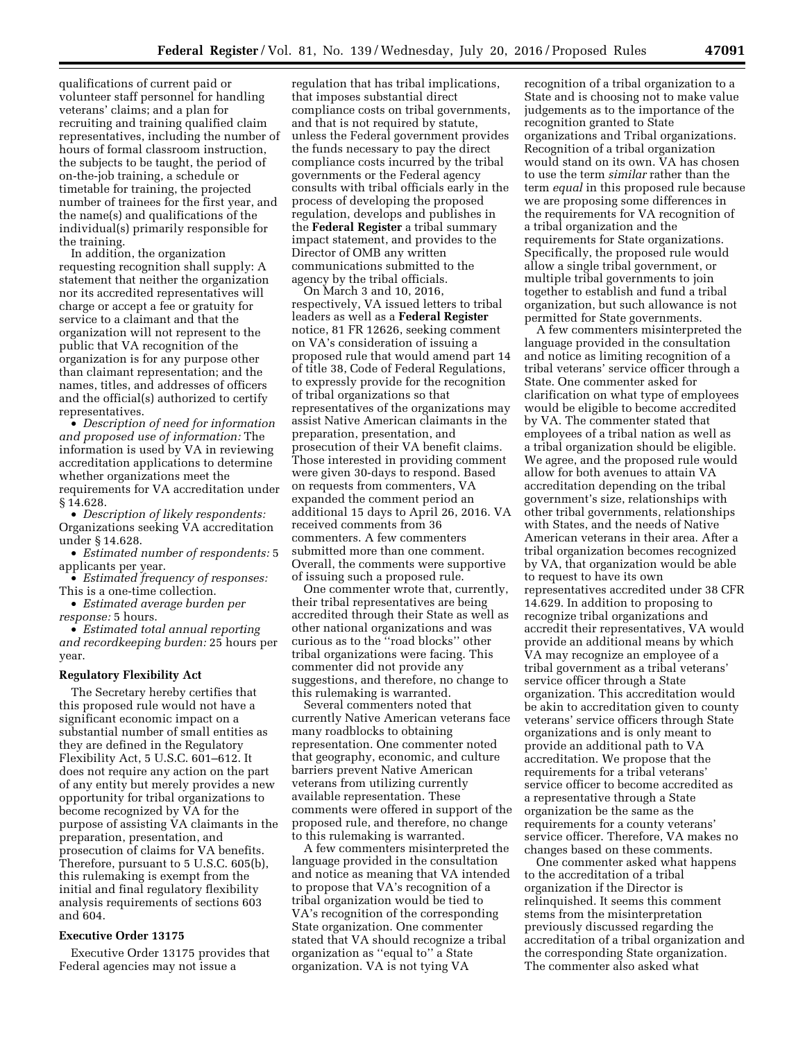qualifications of current paid or volunteer staff personnel for handling veterans' claims; and a plan for recruiting and training qualified claim representatives, including the number of hours of formal classroom instruction, the subjects to be taught, the period of on-the-job training, a schedule or timetable for training, the projected number of trainees for the first year, and the name(s) and qualifications of the individual(s) primarily responsible for the training.

In addition, the organization requesting recognition shall supply: A statement that neither the organization nor its accredited representatives will charge or accept a fee or gratuity for service to a claimant and that the organization will not represent to the public that VA recognition of the organization is for any purpose other than claimant representation; and the names, titles, and addresses of officers and the official(s) authorized to certify representatives.

• *Description of need for information and proposed use of information:* The information is used by VA in reviewing accreditation applications to determine whether organizations meet the requirements for VA accreditation under § 14.628.

• *Description of likely respondents:*  Organizations seeking VA accreditation under § 14.628.

• *Estimated number of respondents:* 5 applicants per year.

• *Estimated frequency of responses:*  This is a one-time collection.

• *Estimated average burden per response:* 5 hours.

• *Estimated total annual reporting and recordkeeping burden:* 25 hours per year.

#### **Regulatory Flexibility Act**

The Secretary hereby certifies that this proposed rule would not have a significant economic impact on a substantial number of small entities as they are defined in the Regulatory Flexibility Act, 5 U.S.C. 601–612. It does not require any action on the part of any entity but merely provides a new opportunity for tribal organizations to become recognized by VA for the purpose of assisting VA claimants in the preparation, presentation, and prosecution of claims for VA benefits. Therefore, pursuant to 5 U.S.C. 605(b), this rulemaking is exempt from the initial and final regulatory flexibility analysis requirements of sections 603 and 604.

## **Executive Order 13175**

Executive Order 13175 provides that Federal agencies may not issue a

regulation that has tribal implications, that imposes substantial direct compliance costs on tribal governments, and that is not required by statute, unless the Federal government provides the funds necessary to pay the direct compliance costs incurred by the tribal governments or the Federal agency consults with tribal officials early in the process of developing the proposed regulation, develops and publishes in the **Federal Register** a tribal summary impact statement, and provides to the Director of OMB any written communications submitted to the agency by the tribal officials.

On March 3 and 10, 2016, respectively, VA issued letters to tribal leaders as well as a **Federal Register**  notice, 81 FR 12626, seeking comment on VA's consideration of issuing a proposed rule that would amend part 14 of title 38, Code of Federal Regulations, to expressly provide for the recognition of tribal organizations so that representatives of the organizations may assist Native American claimants in the preparation, presentation, and prosecution of their VA benefit claims. Those interested in providing comment were given 30-days to respond. Based on requests from commenters, VA expanded the comment period an additional 15 days to April 26, 2016. VA received comments from 36 commenters. A few commenters submitted more than one comment. Overall, the comments were supportive of issuing such a proposed rule.

One commenter wrote that, currently, their tribal representatives are being accredited through their State as well as other national organizations and was curious as to the ''road blocks'' other tribal organizations were facing. This commenter did not provide any suggestions, and therefore, no change to this rulemaking is warranted.

Several commenters noted that currently Native American veterans face many roadblocks to obtaining representation. One commenter noted that geography, economic, and culture barriers prevent Native American veterans from utilizing currently available representation. These comments were offered in support of the proposed rule, and therefore, no change to this rulemaking is warranted.

A few commenters misinterpreted the language provided in the consultation and notice as meaning that VA intended to propose that VA's recognition of a tribal organization would be tied to VA's recognition of the corresponding State organization. One commenter stated that VA should recognize a tribal organization as ''equal to'' a State organization. VA is not tying VA

recognition of a tribal organization to a State and is choosing not to make value judgements as to the importance of the recognition granted to State organizations and Tribal organizations. Recognition of a tribal organization would stand on its own. VA has chosen to use the term *similar* rather than the term *equal* in this proposed rule because we are proposing some differences in the requirements for VA recognition of a tribal organization and the requirements for State organizations. Specifically, the proposed rule would allow a single tribal government, or multiple tribal governments to join together to establish and fund a tribal organization, but such allowance is not permitted for State governments.

A few commenters misinterpreted the language provided in the consultation and notice as limiting recognition of a tribal veterans' service officer through a State. One commenter asked for clarification on what type of employees would be eligible to become accredited by VA. The commenter stated that employees of a tribal nation as well as a tribal organization should be eligible. We agree, and the proposed rule would allow for both avenues to attain VA accreditation depending on the tribal government's size, relationships with other tribal governments, relationships with States, and the needs of Native American veterans in their area. After a tribal organization becomes recognized by VA, that organization would be able to request to have its own representatives accredited under 38 CFR 14.629. In addition to proposing to recognize tribal organizations and accredit their representatives, VA would provide an additional means by which VA may recognize an employee of a tribal government as a tribal veterans' service officer through a State organization. This accreditation would be akin to accreditation given to county veterans' service officers through State organizations and is only meant to provide an additional path to VA accreditation. We propose that the requirements for a tribal veterans' service officer to become accredited as a representative through a State organization be the same as the requirements for a county veterans' service officer. Therefore, VA makes no changes based on these comments.

One commenter asked what happens to the accreditation of a tribal organization if the Director is relinquished. It seems this comment stems from the misinterpretation previously discussed regarding the accreditation of a tribal organization and the corresponding State organization. The commenter also asked what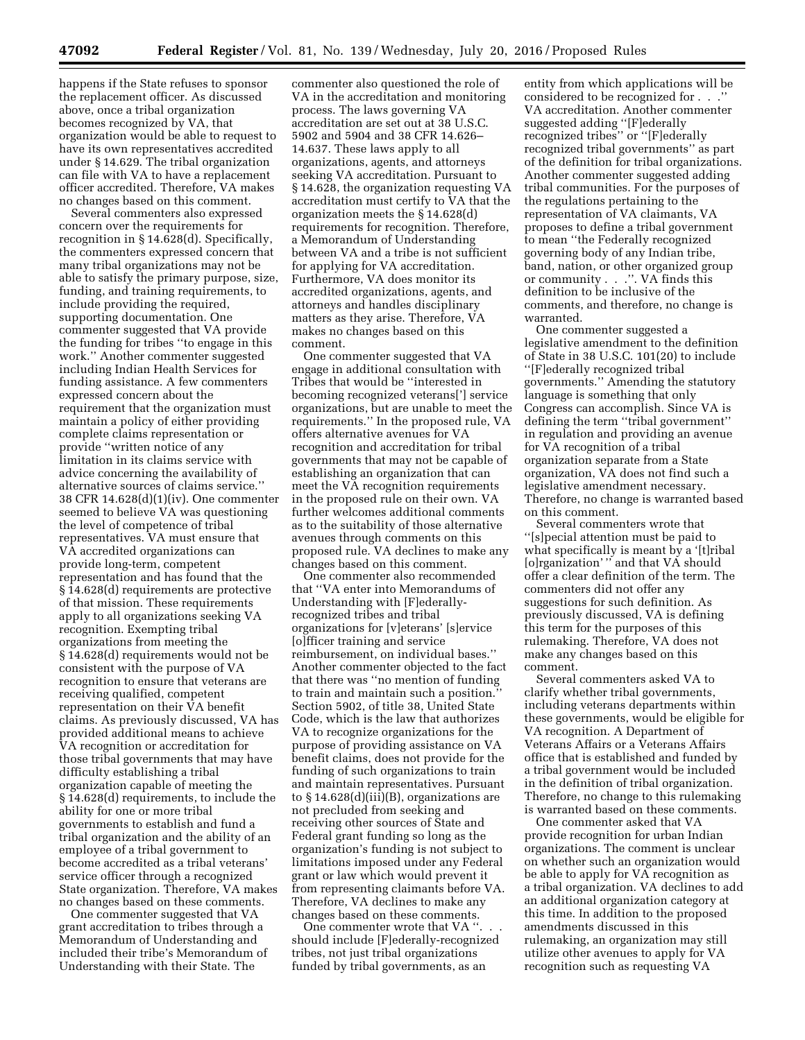happens if the State refuses to sponsor the replacement officer. As discussed above, once a tribal organization becomes recognized by VA, that organization would be able to request to have its own representatives accredited under § 14.629. The tribal organization can file with VA to have a replacement officer accredited. Therefore, VA makes no changes based on this comment.

Several commenters also expressed concern over the requirements for recognition in § 14.628(d). Specifically, the commenters expressed concern that many tribal organizations may not be able to satisfy the primary purpose, size, funding, and training requirements, to include providing the required, supporting documentation. One commenter suggested that VA provide the funding for tribes ''to engage in this work.'' Another commenter suggested including Indian Health Services for funding assistance. A few commenters expressed concern about the requirement that the organization must maintain a policy of either providing complete claims representation or provide ''written notice of any limitation in its claims service with advice concerning the availability of alternative sources of claims service.'' 38 CFR 14.628(d)(1)(iv). One commenter seemed to believe VA was questioning the level of competence of tribal representatives. VA must ensure that VA accredited organizations can provide long-term, competent representation and has found that the § 14.628(d) requirements are protective of that mission. These requirements apply to all organizations seeking VA recognition. Exempting tribal organizations from meeting the § 14.628(d) requirements would not be consistent with the purpose of VA recognition to ensure that veterans are receiving qualified, competent representation on their VA benefit claims. As previously discussed, VA has provided additional means to achieve VA recognition or accreditation for those tribal governments that may have difficulty establishing a tribal organization capable of meeting the § 14.628(d) requirements, to include the ability for one or more tribal governments to establish and fund a tribal organization and the ability of an employee of a tribal government to become accredited as a tribal veterans' service officer through a recognized State organization. Therefore, VA makes no changes based on these comments.

One commenter suggested that VA grant accreditation to tribes through a Memorandum of Understanding and included their tribe's Memorandum of Understanding with their State. The

commenter also questioned the role of VA in the accreditation and monitoring process. The laws governing VA accreditation are set out at 38 U.S.C. 5902 and 5904 and 38 CFR 14.626– 14.637. These laws apply to all organizations, agents, and attorneys seeking VA accreditation. Pursuant to § 14.628, the organization requesting VA accreditation must certify to VA that the organization meets the § 14.628(d) requirements for recognition. Therefore, a Memorandum of Understanding between VA and a tribe is not sufficient for applying for VA accreditation. Furthermore, VA does monitor its accredited organizations, agents, and attorneys and handles disciplinary matters as they arise. Therefore, VA makes no changes based on this comment.

One commenter suggested that VA engage in additional consultation with Tribes that would be ''interested in becoming recognized veterans['] service organizations, but are unable to meet the requirements.'' In the proposed rule, VA offers alternative avenues for VA recognition and accreditation for tribal governments that may not be capable of establishing an organization that can meet the VA recognition requirements in the proposed rule on their own. VA further welcomes additional comments as to the suitability of those alternative avenues through comments on this proposed rule. VA declines to make any changes based on this comment.

One commenter also recommended that ''VA enter into Memorandums of Understanding with [F]ederallyrecognized tribes and tribal organizations for [v]eterans' [s]ervice [o]fficer training and service reimbursement, on individual bases.'' Another commenter objected to the fact that there was ''no mention of funding to train and maintain such a position. Section 5902, of title 38, United State Code, which is the law that authorizes VA to recognize organizations for the purpose of providing assistance on VA benefit claims, does not provide for the funding of such organizations to train and maintain representatives. Pursuant to  $§ 14.628(d)(iii)(B)$ , organizations are not precluded from seeking and receiving other sources of State and Federal grant funding so long as the organization's funding is not subject to limitations imposed under any Federal grant or law which would prevent it from representing claimants before VA. Therefore, VA declines to make any changes based on these comments.

One commenter wrote that VA ''. should include [F]ederally-recognized tribes, not just tribal organizations funded by tribal governments, as an

entity from which applications will be considered to be recognized for . . .'' VA accreditation. Another commenter suggested adding ''[F]ederally recognized tribes'' or ''[F]ederally recognized tribal governments'' as part of the definition for tribal organizations. Another commenter suggested adding tribal communities. For the purposes of the regulations pertaining to the representation of VA claimants, VA proposes to define a tribal government to mean ''the Federally recognized governing body of any Indian tribe, band, nation, or other organized group or community . . .''. VA finds this definition to be inclusive of the comments, and therefore, no change is warranted.

One commenter suggested a legislative amendment to the definition of State in 38 U.S.C. 101(20) to include ''[F]ederally recognized tribal governments.'' Amending the statutory language is something that only Congress can accomplish. Since VA is defining the term ''tribal government'' in regulation and providing an avenue for VA recognition of a tribal organization separate from a State organization, VA does not find such a legislative amendment necessary. Therefore, no change is warranted based on this comment.

Several commenters wrote that ''[s]pecial attention must be paid to what specifically is meant by a '[t]ribal [o]rganization' " and that VA should offer a clear definition of the term. The commenters did not offer any suggestions for such definition. As previously discussed, VA is defining this term for the purposes of this rulemaking. Therefore, VA does not make any changes based on this comment.

Several commenters asked VA to clarify whether tribal governments, including veterans departments within these governments, would be eligible for VA recognition. A Department of Veterans Affairs or a Veterans Affairs office that is established and funded by a tribal government would be included in the definition of tribal organization. Therefore, no change to this rulemaking is warranted based on these comments.

One commenter asked that VA provide recognition for urban Indian organizations. The comment is unclear on whether such an organization would be able to apply for VA recognition as a tribal organization. VA declines to add an additional organization category at this time. In addition to the proposed amendments discussed in this rulemaking, an organization may still utilize other avenues to apply for VA recognition such as requesting VA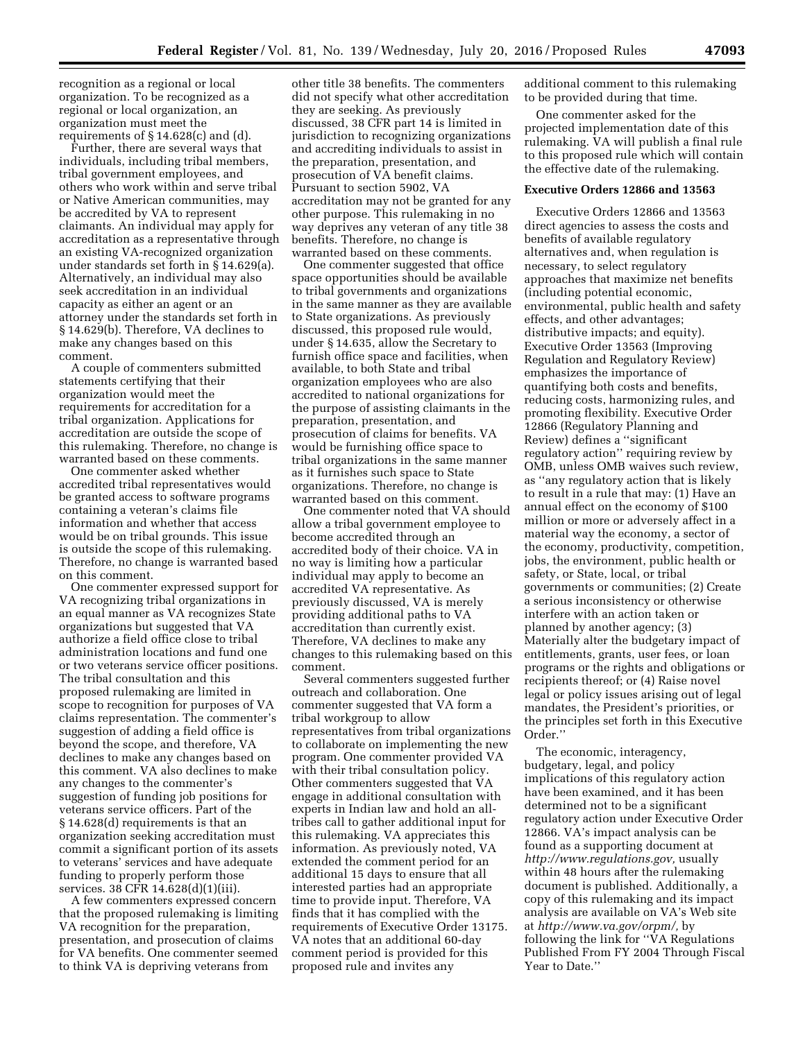recognition as a regional or local organization. To be recognized as a regional or local organization, an organization must meet the requirements of § 14.628(c) and (d).

Further, there are several ways that individuals, including tribal members, tribal government employees, and others who work within and serve tribal or Native American communities, may be accredited by VA to represent claimants. An individual may apply for accreditation as a representative through an existing VA-recognized organization under standards set forth in § 14.629(a). Alternatively, an individual may also seek accreditation in an individual capacity as either an agent or an attorney under the standards set forth in § 14.629(b). Therefore, VA declines to make any changes based on this comment.

A couple of commenters submitted statements certifying that their organization would meet the requirements for accreditation for a tribal organization. Applications for accreditation are outside the scope of this rulemaking. Therefore, no change is warranted based on these comments.

One commenter asked whether accredited tribal representatives would be granted access to software programs containing a veteran's claims file information and whether that access would be on tribal grounds. This issue is outside the scope of this rulemaking. Therefore, no change is warranted based on this comment.

One commenter expressed support for VA recognizing tribal organizations in an equal manner as VA recognizes State organizations but suggested that VA authorize a field office close to tribal administration locations and fund one or two veterans service officer positions. The tribal consultation and this proposed rulemaking are limited in scope to recognition for purposes of VA claims representation. The commenter's suggestion of adding a field office is beyond the scope, and therefore, VA declines to make any changes based on this comment. VA also declines to make any changes to the commenter's suggestion of funding job positions for veterans service officers. Part of the § 14.628(d) requirements is that an organization seeking accreditation must commit a significant portion of its assets to veterans' services and have adequate funding to properly perform those services. 38 CFR 14.628(d)(1)(iii).

A few commenters expressed concern that the proposed rulemaking is limiting VA recognition for the preparation, presentation, and prosecution of claims for VA benefits. One commenter seemed to think VA is depriving veterans from

other title 38 benefits. The commenters did not specify what other accreditation they are seeking. As previously discussed, 38 CFR part 14 is limited in jurisdiction to recognizing organizations and accrediting individuals to assist in the preparation, presentation, and prosecution of VA benefit claims. Pursuant to section 5902, VA accreditation may not be granted for any other purpose. This rulemaking in no way deprives any veteran of any title 38 benefits. Therefore, no change is warranted based on these comments.

One commenter suggested that office space opportunities should be available to tribal governments and organizations in the same manner as they are available to State organizations. As previously discussed, this proposed rule would, under § 14.635, allow the Secretary to furnish office space and facilities, when available, to both State and tribal organization employees who are also accredited to national organizations for the purpose of assisting claimants in the preparation, presentation, and prosecution of claims for benefits. VA would be furnishing office space to tribal organizations in the same manner as it furnishes such space to State organizations. Therefore, no change is warranted based on this comment.

One commenter noted that VA should allow a tribal government employee to become accredited through an accredited body of their choice. VA in no way is limiting how a particular individual may apply to become an accredited VA representative. As previously discussed, VA is merely providing additional paths to VA accreditation than currently exist. Therefore, VA declines to make any changes to this rulemaking based on this comment.

Several commenters suggested further outreach and collaboration. One commenter suggested that VA form a tribal workgroup to allow representatives from tribal organizations to collaborate on implementing the new program. One commenter provided VA with their tribal consultation policy. Other commenters suggested that VA engage in additional consultation with experts in Indian law and hold an alltribes call to gather additional input for this rulemaking. VA appreciates this information. As previously noted, VA extended the comment period for an additional 15 days to ensure that all interested parties had an appropriate time to provide input. Therefore, VA finds that it has complied with the requirements of Executive Order 13175. VA notes that an additional 60-day comment period is provided for this proposed rule and invites any

additional comment to this rulemaking to be provided during that time.

One commenter asked for the projected implementation date of this rulemaking. VA will publish a final rule to this proposed rule which will contain the effective date of the rulemaking.

### **Executive Orders 12866 and 13563**

Executive Orders 12866 and 13563 direct agencies to assess the costs and benefits of available regulatory alternatives and, when regulation is necessary, to select regulatory approaches that maximize net benefits (including potential economic, environmental, public health and safety effects, and other advantages; distributive impacts; and equity). Executive Order 13563 (Improving Regulation and Regulatory Review) emphasizes the importance of quantifying both costs and benefits, reducing costs, harmonizing rules, and promoting flexibility. Executive Order 12866 (Regulatory Planning and Review) defines a ''significant regulatory action'' requiring review by OMB, unless OMB waives such review, as ''any regulatory action that is likely to result in a rule that may: (1) Have an annual effect on the economy of \$100 million or more or adversely affect in a material way the economy, a sector of the economy, productivity, competition, jobs, the environment, public health or safety, or State, local, or tribal governments or communities; (2) Create a serious inconsistency or otherwise interfere with an action taken or planned by another agency; (3) Materially alter the budgetary impact of entitlements, grants, user fees, or loan programs or the rights and obligations or recipients thereof; or (4) Raise novel legal or policy issues arising out of legal mandates, the President's priorities, or the principles set forth in this Executive Order.''

The economic, interagency, budgetary, legal, and policy implications of this regulatory action have been examined, and it has been determined not to be a significant regulatory action under Executive Order 12866. VA's impact analysis can be found as a supporting document at *[http://www.regulations.gov,](http://www.regulations.gov)* usually within 48 hours after the rulemaking document is published. Additionally, a copy of this rulemaking and its impact analysis are available on VA's Web site at *[http://www.va.gov/orpm/,](http://www.va.gov/orpm/)* by following the link for ''VA Regulations Published From FY 2004 Through Fiscal Year to Date.''